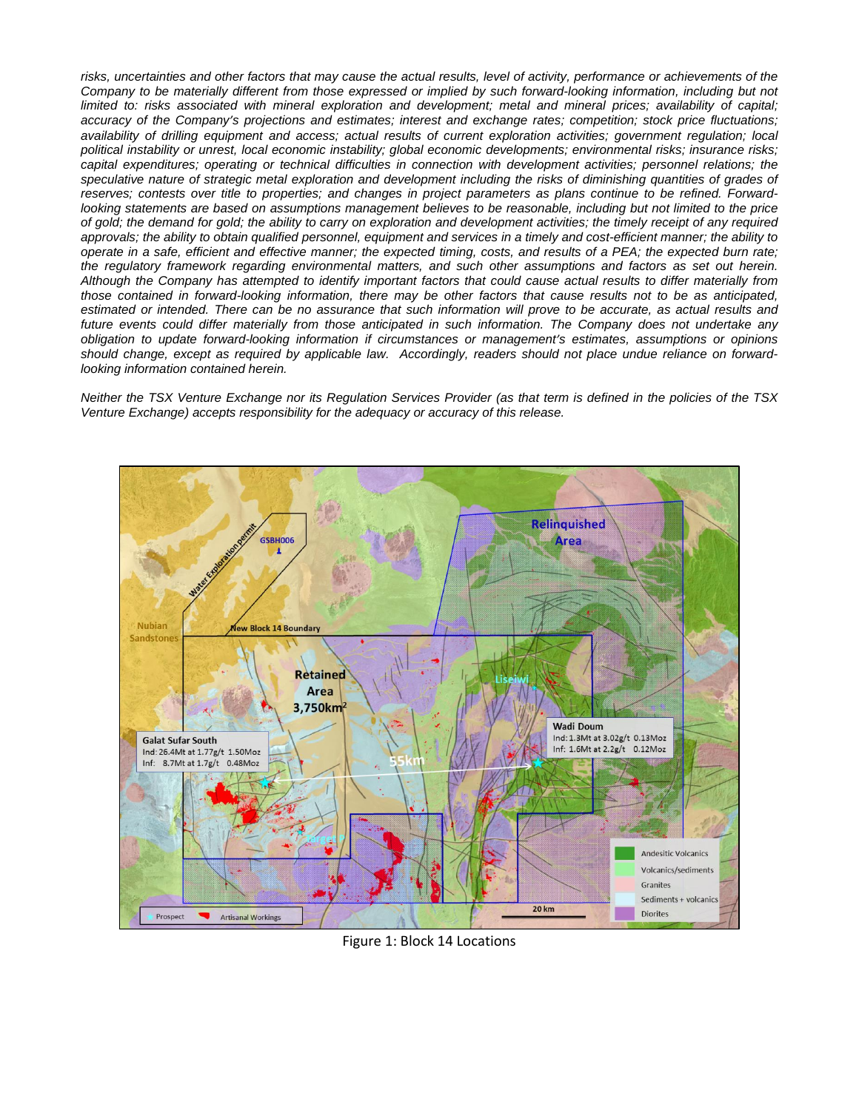

Figure 1: Block 14 Locations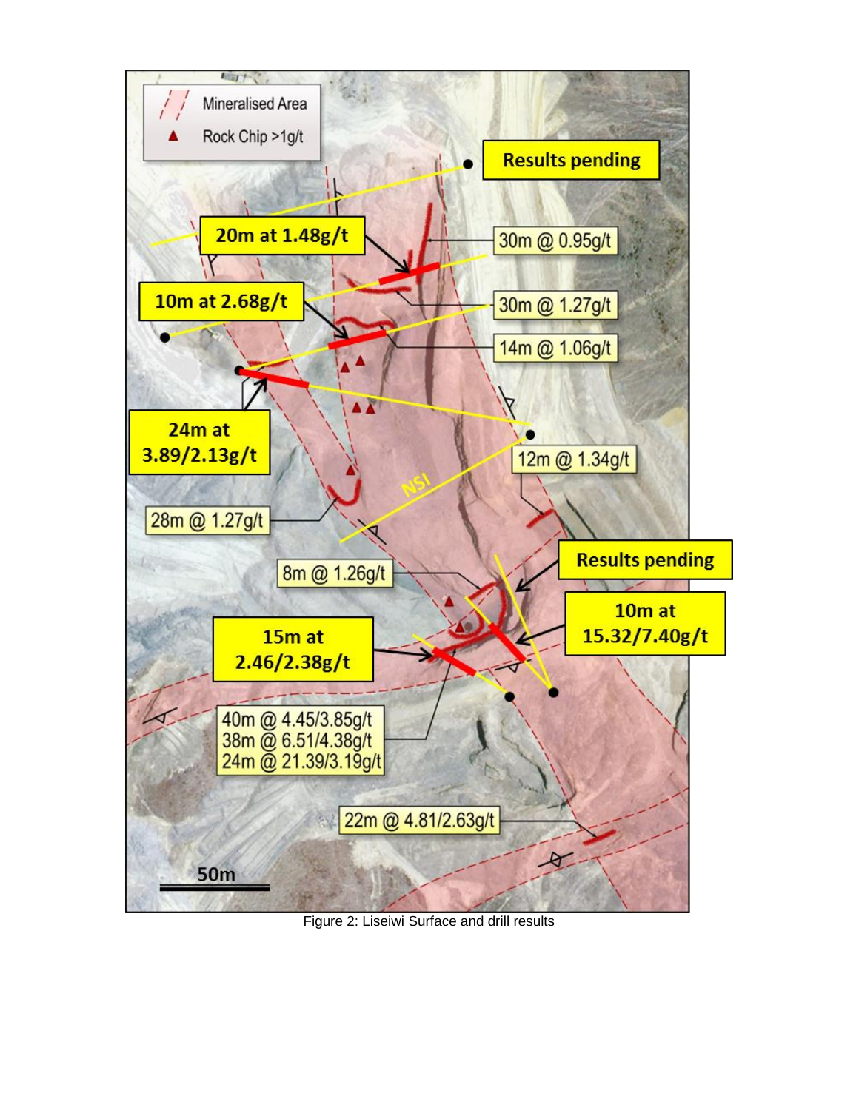

Figure 2: Liseiwi Surface and drill results